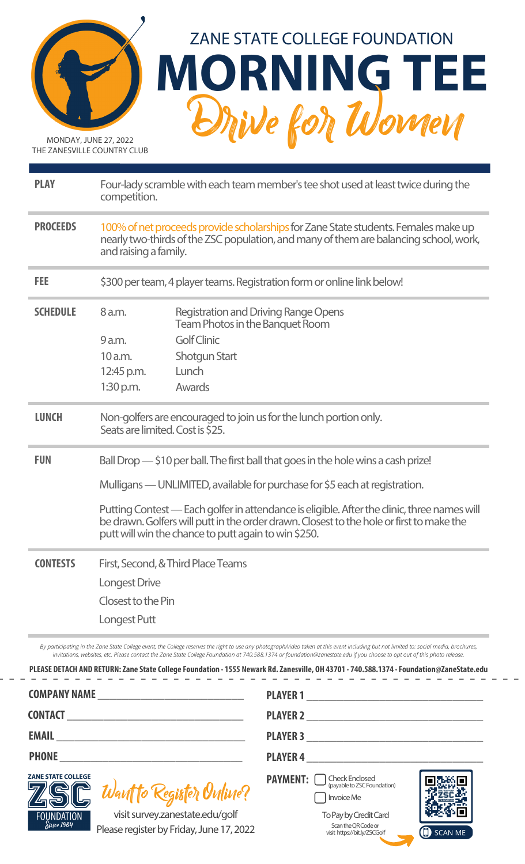

MONDAY, JUNE 27, 2022 THE ZANESVILLE COUNTRY CLUB



| <b>PLAY</b>     | Four-lady scramble with each team member's tee shot used at least twice during the<br>competition.                                                                                                   |                                                                                                                                                                                                                                                 |  |
|-----------------|------------------------------------------------------------------------------------------------------------------------------------------------------------------------------------------------------|-------------------------------------------------------------------------------------------------------------------------------------------------------------------------------------------------------------------------------------------------|--|
| <b>PROCEEDS</b> | 100% of net proceeds provide scholarships for Zane State students. Females make up<br>nearly two-thirds of the ZSC population, and many of them are balancing school, work,<br>and raising a family. |                                                                                                                                                                                                                                                 |  |
| <b>FEE</b>      | \$300 per team, 4 player teams. Registration form or online link below!                                                                                                                              |                                                                                                                                                                                                                                                 |  |
| <b>SCHEDULE</b> | 8 a.m.                                                                                                                                                                                               | <b>Registration and Driving Range Opens</b><br>Team Photos in the Banquet Room                                                                                                                                                                  |  |
|                 | 9 a.m.                                                                                                                                                                                               | <b>Golf Clinic</b>                                                                                                                                                                                                                              |  |
|                 | 10 a.m.                                                                                                                                                                                              | Shotgun Start                                                                                                                                                                                                                                   |  |
|                 | 12:45 p.m.                                                                                                                                                                                           | Lunch                                                                                                                                                                                                                                           |  |
|                 | $1:30$ p.m.                                                                                                                                                                                          | Awards                                                                                                                                                                                                                                          |  |
| <b>LUNCH</b>    | Seats are limited. Cost is \$25.                                                                                                                                                                     | Non-golfers are encouraged to join us for the lunch portion only.                                                                                                                                                                               |  |
| <b>FUN</b>      |                                                                                                                                                                                                      | Ball Drop - \$10 per ball. The first ball that goes in the hole wins a cash prize!                                                                                                                                                              |  |
|                 |                                                                                                                                                                                                      | Mulligans — UNLIMITED, available for purchase for \$5 each at registration.                                                                                                                                                                     |  |
|                 |                                                                                                                                                                                                      | Putting Contest — Each golfer in attendance is eligible. After the clinic, three names will<br>be drawn. Golfers will putt in the order drawn. Closest to the hole or first to make the<br>putt will win the chance to putt again to win \$250. |  |
| <b>CONTESTS</b> | First, Second, & Third Place Teams                                                                                                                                                                   |                                                                                                                                                                                                                                                 |  |
|                 | Longest Drive                                                                                                                                                                                        |                                                                                                                                                                                                                                                 |  |
|                 | Closest to the Pin                                                                                                                                                                                   |                                                                                                                                                                                                                                                 |  |
|                 | Longest Putt                                                                                                                                                                                         |                                                                                                                                                                                                                                                 |  |
|                 |                                                                                                                                                                                                      |                                                                                                                                                                                                                                                 |  |

*By participating in the Zane State College event, the College reserves the right to use any photograph/video taken at this event including but not limited to: social media, brochures, invitations, websites, etc. Please contact the Zane State College Foundation at 740.588.1374 or foundation@zanestate.edu if you choose to opt out of this photo release.*

|                                                                                                                | PLAYER 1                                                                   |  |  |
|----------------------------------------------------------------------------------------------------------------|----------------------------------------------------------------------------|--|--|
|                                                                                                                | <b>PLAYER 2</b>                                                            |  |  |
|                                                                                                                |                                                                            |  |  |
| <b>PHONE <i>PHONE</i></b>                                                                                      | PLAYER 4                                                                   |  |  |
| <b>ZANE STATE COLLEGE</b><br>Want to Register Online?                                                          | <b>PAYMENT:</b> $\bigcup_{(payable to \, ZSC\, Foundation)}$<br>Invoice Me |  |  |
| visit survey.zanestate.edu/golf<br><b>FOUNDATION</b><br>Since 1984<br>Dloase register by Eriday, June 17, 2022 | To Pay by Credit Card<br>Scan the QR Code or<br>$\sqrt{2}$                 |  |  |

Please register by Friday, June 17, 2022

ScantheQRCodeor visit https://bit.ly/ZSCGolf

(I) SCAN ME